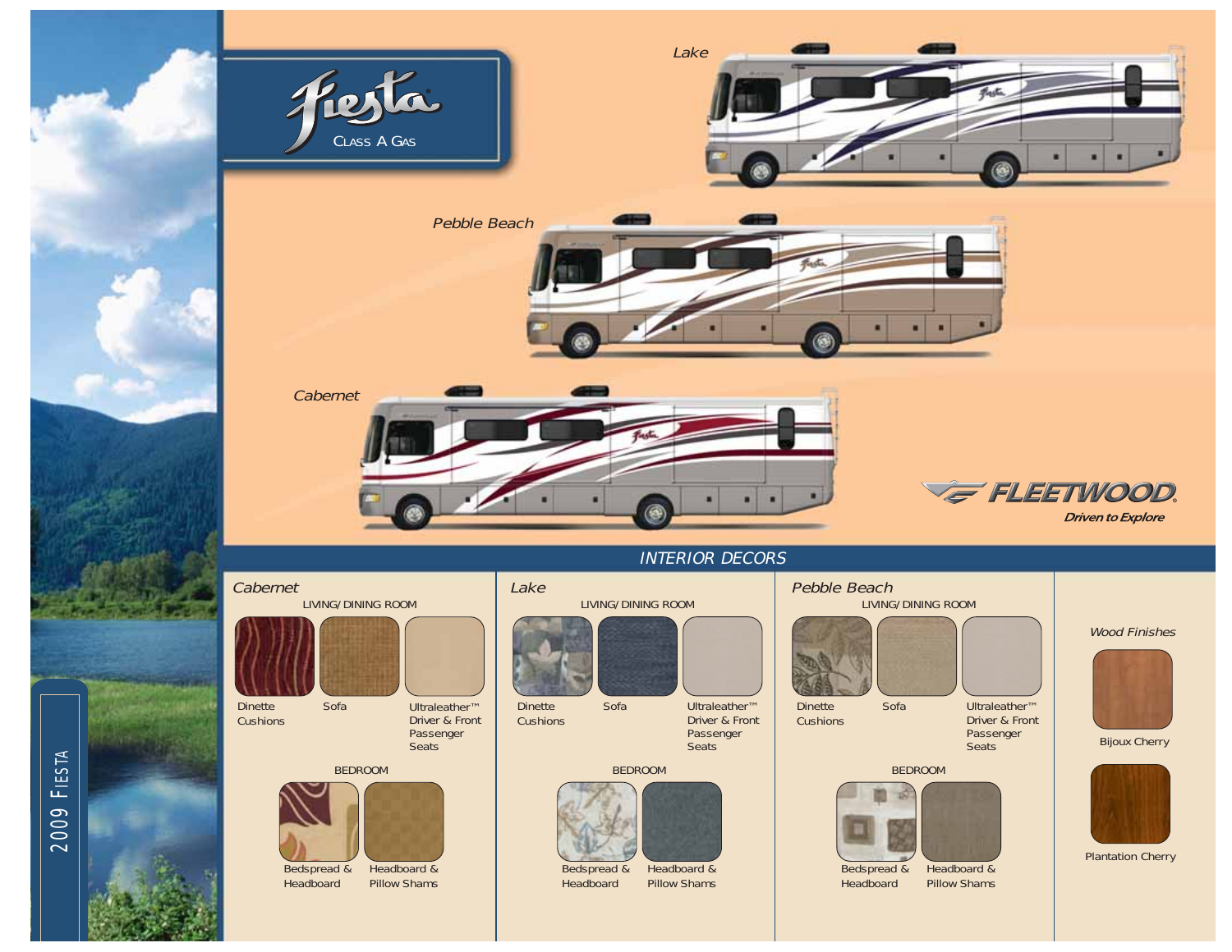



# INTERIOR DECORS

#### Wood Finishes Plantation Cherry BEDROOM Bedspread & Headboard Headboard & Pillow Shams Dinette Sofa Ultraleather™ I Dinette Sofa Ultraleather™ Driver & Front Passenger Seats BEDROOM Dinette **Cushions** Bedspread & Headboard Headboard & Pillow Shams Driver & Front Passenger Seats BEDROOM Dinette **Cushions** Bedspread & Headboard Headboard & Pillow Shams Sofa Ultraleather™ Driver & Front Passenger **Seats** Lake **Pebble Beach** LIVING/DINING ROOM LIVING/DINING ROOM LIVING/DINING ROOM Bijoux Cherry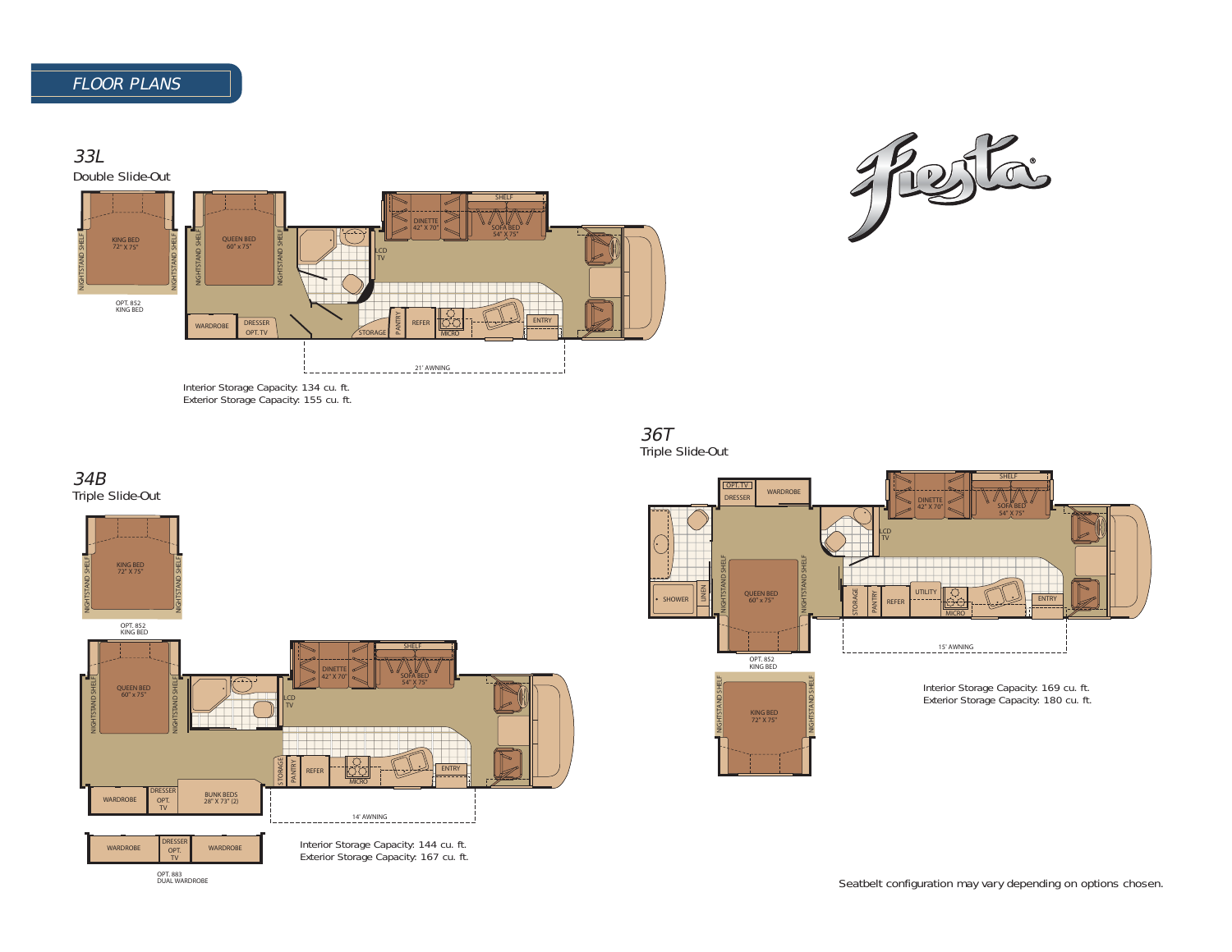



36T Triple Slide-Out







OPT. 883 DUAL WARDROBE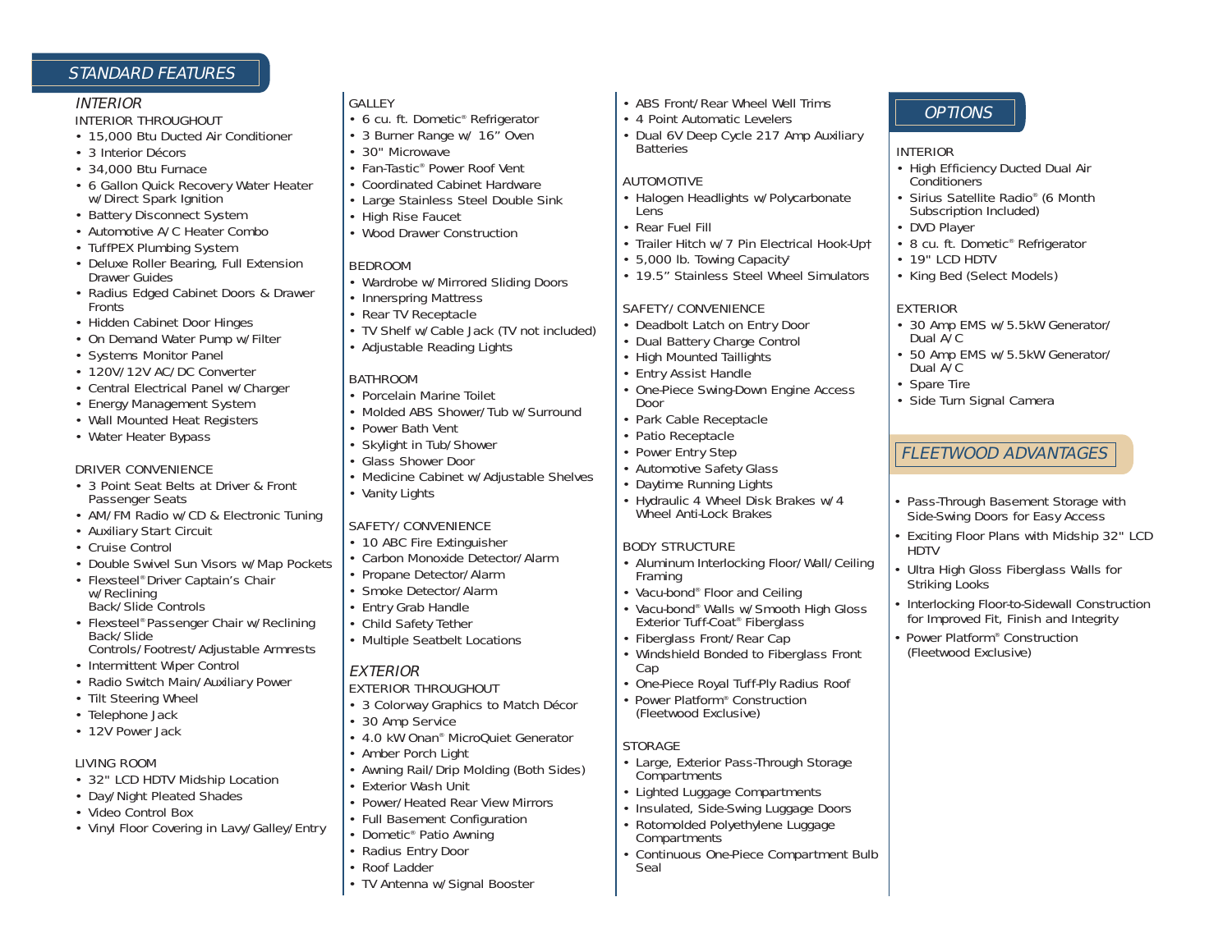# STANDARD FEATURES

#### INTERIOR

#### INTERIOR THROUGHOUT

- 15,000 Btu Ducted Air Conditioner
- 3 Interior Décors
- 34,000 Btu Furnace
- 6 Gallon Quick Recovery Water Heater w/Direct Spark Ignition
- Battery Disconnect System
- Automotive A/C Heater Combo
- TuffPEX Plumbing System
- Deluxe Roller Bearing, Full Extension Drawer Guides
- Radius Edged Cabinet Doors & Drawer Fronts
- Hidden Cabinet Door Hinges
- On Demand Water Pump w/Filter
- Systems Monitor Panel
- 120V/12V AC/DC Converter
- Central Electrical Panel w/Charger
- Energy Management System
- Wall Mounted Heat Registers
- Water Heater Bypass

#### DRIVER CONVENIENCE

- 3 Point Seat Belts at Driver & Front Passenger Seats
- AM/FM Radio w/CD & Electronic Tuning
- Auxiliary Start Circuit
- Cruise Control
- Double Swivel Sun Visors w/Map Pockets
- Flexsteel® Driver Captain's Chair w/Reclining Back/Slide Controls
- Flexsteel® Passenger Chair w/Reclining Back/Slide Controls/Footrest/Adjustable Armrests
- Intermittent Wiper Control
- Radio Switch Main/Auxiliary Power
- Tilt Steering Wheel
- Telephone Jack
- 12V Power Jack

## LIVING ROOM

- 32" LCD HDTV Midship Location
- Day/Night Pleated Shades
- Video Control Box
- Vinyl Floor Covering in Lavy/Galley/Entry
	- Dometic® Patio Awning • Radius Entry Door

GALLEY

• 30" Microwave

• High Rise Faucet

• Innerspring Mattress • Rear TV Receptacle

• Adjustable Reading Lights

• Porcelain Marine Toilet

SAFETY/CONVENIENCE • 10 ABC Fire Extinguisher • Carbon Monoxide Detector/Alarm

• Propane Detector/Alarm • Smoke Detector/Alarm • Entry Grab Handle • Child Safety Tether • Multiple Seatbelt Locations

EXTERIOR THROUGHOUT

• 3 Colorway Graphics to Match Décor

• 4.0 kW Onan® MicroQuiet Generator

• Awning Rail/Drip Molding (Both Sides)

• Power/Heated Rear View Mirrors • Full Basement Configuration

• Power Bath Vent • Skylight in Tub/Shower • Glass Shower Door

• Vanity Lights

BEDROOM

**BATHROOM** 

• 6 cu. ft. Dometic® Refrigerator • 3 Burner Range w/ 16" Oven

• Fan-Tastic® Power Roof Vent • Coordinated Cabinet Hardware • Large Stainless Steel Double Sink

• Wood Drawer Construction

• Wardrobe w/Mirrored Sliding Doors

• TV Shelf w/Cable Jack (TV not included)

• Molded ABS Shower/Tub w/Surround

• Medicine Cabinet w/Adjustable Shelves

• Roof Ladder

EXTERIOR

• 30 Amp Service

• Amber Porch Light

• Exterior Wash Unit

• TV Antenna w/Signal Booster

- ABS Front/Rear Wheel Well Trims
- 4 Point Automatic Levelers
- Dual 6V Deep Cycle 217 Amp Auxiliary **Batteries**

#### AUTOMOTIVE

- Halogen Headlights w/Polycarbonate **Lens**
- Rear Fuel Fill
- Trailer Hitch w/7 Pin Electrical Hook-Up†
- 5,000 lb. Towing Capacity†
- 19.5" Stainless Steel Wheel Simulators

## SAFETY/CONVENIENCE

- Deadbolt Latch on Entry Door
- Dual Battery Charge Control
- High Mounted Taillights
- Entry Assist Handle
- One-Piece Swing-Down Engine Access Door
- Park Cable Receptacle
- Patio Receptacle
- Power Entry Step
	- Automotive Safety Glass
	- Daytime Running Lights
	- Hydraulic 4 Wheel Disk Brakes w/4 Wheel Anti-Lock Brakes

## BODY STRUCTURE

- Aluminum Interlocking Floor/Wall/Ceiling Framing
- Vacu-bond® Floor and Ceiling
- Vacu-bond® Walls w/Smooth High Gloss Exterior Tuff-Coat® Fiberglass
- Fiberglass Front/Rear Cap
- Windshield Bonded to Fiberglass Front Cap
- One-Piece Royal Tuff-Ply Radius Roof
- Power Platform® Construction (Fleetwood Exclusive)

## **STORAGE**

- Large, Exterior Pass-Through Storage Compartments
- Lighted Luggage Compartments
- Insulated, Side-Swing Luggage Doors
- Rotomolded Polyethylene Luggage **Compartments**
- Continuous One-Piece Compartment Bulb Seal

# **OPTIONS**

#### INTERIOR

- High Efficiency Ducted Dual Air **Conditioners**
- Sirius Satellite Radio® (6 Month Subscription Included)
- DVD Player
- 8 cu. ft. Dometic® Refrigerator
- 19" LCD HDTV
- King Bed (Select Models)

# EXTERIOR

- 30 Amp EMS w/5.5kW Generator/ Dual A/C
- 50 Amp EMS w/5.5kW Generator/ Dual A/C
- Spare Tire
- Side Turn Signal Camera

# FLEETWOOD ADVANTAGES FLEETWOOD ADVANTAGES

- Pass-Through Basement Storage with Side-Swing Doors for Easy Access
- Exciting Floor Plans with Midship 32" LCD HDTV
- Ultra High Gloss Fiberglass Walls for Striking Looks
- Interlocking Floor-to-Sidewall Construction for Improved Fit, Finish and Integrity
- Power Platform<sup>®</sup> Construction (Fleetwood Exclusive)